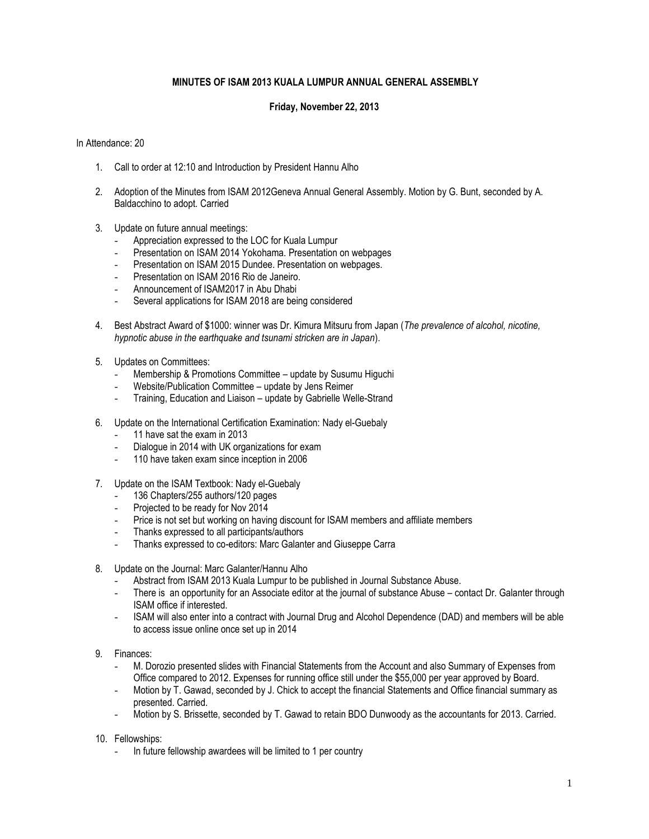## **MINUTES OF ISAM 2013 KUALA LUMPUR ANNUAL GENERAL ASSEMBLY**

## **Friday, November 22, 2013**

In Attendance: 20

- 1. Call to order at 12:10 and Introduction by President Hannu Alho
- 2. Adoption of the Minutes from ISAM 2012Geneva Annual General Assembly. Motion by G. Bunt, seconded by A. Baldacchino to adopt. Carried
- 3. Update on future annual meetings:
	- Appreciation expressed to the LOC for Kuala Lumpur
	- Presentation on ISAM 2014 Yokohama. Presentation on webpages
	- Presentation on ISAM 2015 Dundee. Presentation on webpages.
	- Presentation on ISAM 2016 Rio de Janeiro.
	- Announcement of ISAM2017 in Abu Dhabi
	- Several applications for ISAM 2018 are being considered
- 4. Best Abstract Award of \$1000: winner was Dr. Kimura Mitsuru from Japan (*The prevalence of alcohol, nicotine, hypnotic abuse in the earthquake and tsunami stricken are in Japan*).
- 5. Updates on Committees:
	- Membership & Promotions Committee update by Susumu Higuchi
	- Website/Publication Committee update by Jens Reimer
	- Training, Education and Liaison update by Gabrielle Welle-Strand
- 6. Update on the International Certification Examination: Nady el-Guebaly
	- 11 have sat the exam in 2013
	- Dialogue in 2014 with UK organizations for exam
	- 110 have taken exam since inception in 2006
- 7. Update on the ISAM Textbook: Nady el-Guebaly
	- 136 Chapters/255 authors/120 pages
	- Projected to be ready for Nov 2014
	- Price is not set but working on having discount for ISAM members and affiliate members
	- Thanks expressed to all participants/authors
	- Thanks expressed to co-editors: Marc Galanter and Giuseppe Carra
- 8. Update on the Journal: Marc Galanter/Hannu Alho
	- Abstract from ISAM 2013 Kuala Lumpur to be published in Journal Substance Abuse.
	- There is an opportunity for an Associate editor at the journal of substance Abuse contact Dr. Galanter through ISAM office if interested.
	- ISAM will also enter into a contract with Journal Drug and Alcohol Dependence (DAD) and members will be able to access issue online once set up in 2014
- 9. Finances:
	- M. Dorozio presented slides with Financial Statements from the Account and also Summary of Expenses from Office compared to 2012. Expenses for running office still under the \$55,000 per year approved by Board.
	- Motion by T. Gawad, seconded by J. Chick to accept the financial Statements and Office financial summary as presented. Carried.
	- Motion by S. Brissette, seconded by T. Gawad to retain BDO Dunwoody as the accountants for 2013. Carried.
- 10. Fellowships:
	- In future fellowship awardees will be limited to 1 per country